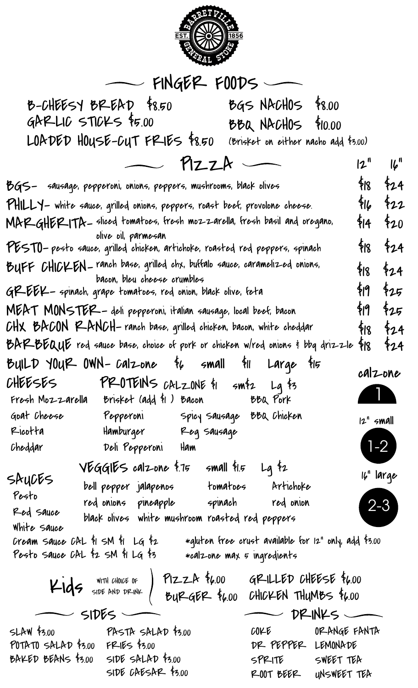

## $-$  FINGER FOODS  $-$

B-CHEESY BREAD \$8.50 BGS NACHOS \$8.00  $GAFLLIC$  STICKS  $$5.00$ LOADED HOUSE-CUT FRIES \$8.50 (Brisket on either nacho add \$3.00)  $BBA$  NACHOS \$10.00  $PizzA$  $12"$   $16"$ 

|                                                                                                           | BGS- sausage, pepperoni, onions, peppers, mushrooms, black olives                                  |                                                       |              |                | $$18$ $$24$ |
|-----------------------------------------------------------------------------------------------------------|----------------------------------------------------------------------------------------------------|-------------------------------------------------------|--------------|----------------|-------------|
| PHILLY- white sauce, grilled onions, peppers, roast beef, provolone cheese.                               |                                                                                                    |                                                       |              |                | $416$ $422$ |
|                                                                                                           | MARGHER-ITA— sliced tomatoes, fresh mozzarella, fresh basil and oregano,                           |                                                       |              |                | $414$ $420$ |
|                                                                                                           | olive oil, parmesan<br>PESTO-pesto sauce, grilled chicken, artichoke, roasted red peppers, spinach |                                                       |              |                | $$18$ $$24$ |
| BUFF CHICKEN - ranch base, grilled chx, buffalo sauce, caramelized onions,<br>bacon, bleu cheese crumbles |                                                                                                    |                                                       |              |                | $$18$ $$24$ |
| GP-EEK - spinach, grape tomatoes, red onion, black olive, feta                                            |                                                                                                    |                                                       |              |                | 钢 钇         |
| MEAT MONSTER - deli pepperoni, italian sausage, local beef, bacon                                         |                                                                                                    |                                                       |              |                | \$19 \$25   |
| CHX BACON RANCH- ranch base, grilled chicken, bacon, white cheddar                                        |                                                                                                    |                                                       |              |                | $418$ $424$ |
| BAR BEQUE red sauce base, choice of pork or chicken w/red onions i bbq drizzle                            |                                                                                                    |                                                       |              |                | $418$ $424$ |
|                                                                                                           | BUILD YOUR OWN-Calzone $\frac{1}{4}$ small $\frac{1}{4}$ Large $\frac{1}{4}$                       |                                                       |              |                |             |
|                                                                                                           | CHEESES PROTEINS CALZONE \$1 sm\$2 Lg \$3                                                          |                                                       |              | calzone        |             |
|                                                                                                           | Fresh Mozzarella Brisket (add $\sharp$ l) Bacon BBQ Pork                                           |                                                       |              | $\blacksquare$ |             |
|                                                                                                           | Goat Cheese        Pepperoni        Spicy Sausage  BBQ Chicken                                     |                                                       |              | $12^n$ small   |             |
|                                                                                                           | Ricotta Hamburger Reg sausage                                                                      |                                                       |              |                |             |
|                                                                                                           | Cheddar Deli Pepperoni Ham                                                                         |                                                       |              | $1-2$          |             |
|                                                                                                           | $\sqrt{6}$ GGIES calzone \$.75 small \$1.5 Lg \$2                                                  |                                                       |              |                |             |
| SAYCES                                                                                                    | bell pepper jalapenos tomatoes Artichoke                                                           |                                                       |              | 16" large      |             |
| Pesto                                                                                                     | red onions pineapple spinach red onion                                                             |                                                       |              |                |             |
| Red Sauce                                                                                                 | black olives white mushroom roasted red peppers                                                    |                                                       |              |                |             |
| White sauce<br>Cream sauce CAL $\frac{1}{2}$ SM $\frac{1}{2}$ LG $\frac{1}{2}$                            |                                                                                                    |                                                       |              |                |             |
| Pesto sauce CAL \$2 SM \$1 LG \$3                                                                         | *calzone max 5 ingredients                                                                         | *qluten free crust available for 12" only, add \$3.00 |              |                |             |
|                                                                                                           |                                                                                                    |                                                       |              |                |             |
|                                                                                                           | Kids SIDE AND DRINK (BURGER \$6.00 GRILLED CHEESE \$6.00                                           |                                                       |              |                |             |
|                                                                                                           |                                                                                                    |                                                       |              |                |             |
| SIDES                                                                                                     |                                                                                                    | $\sim$ DRINKS                                         |              |                |             |
|                                                                                                           | $SLAW$ \$3.00 $P$ ASTA SALAD \$3.00                                                                | C0FE                                                  | ORANGE FANTA |                |             |
| POTATO SALAD \$3.00 FRIES \$3.00<br>BAKED BEANS $\frac{1}{300}$ SIDE SALAD $\frac{1}{300}$                |                                                                                                    | DR PEPPER LEMONADE                                    |              |                |             |
|                                                                                                           | $SIDE$ $CNE$ $SAR$ $5.00$                                                                          | SPRITE SWEET TEA<br>ROOT BEER UNSWEET TEA             |              |                |             |
|                                                                                                           |                                                                                                    |                                                       |              |                |             |